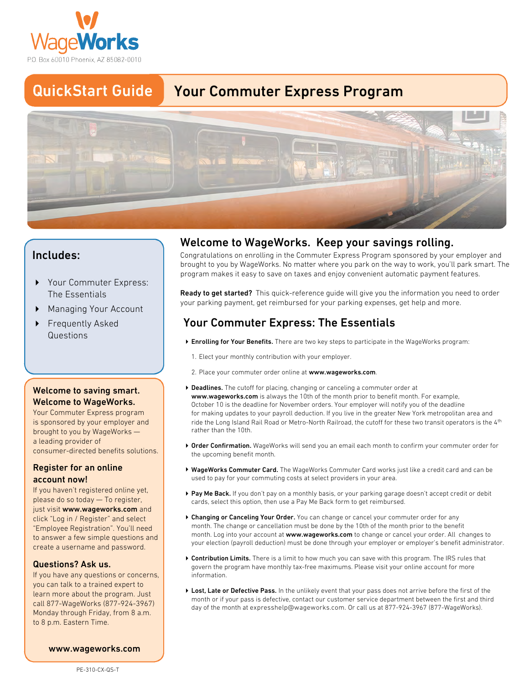

#### **QuickStart Guide Your Commuter Express Program**



## **Includes:**

- **4 Your Commuter Express: The Essentials**
- **4 Managing Your Account**
- **4 Frequently Asked Questions**

## **Welcome to saving smart. Welcome to WageWorks.**

**Your Commuter Express program is sponsored by your employer and brought to you by WageWorks a leading provider of consumer-directed benefits solutions.**

#### **Register for an online account now!**

**just visit www.wageworks.com and If you haven't registered online yet, please do so today — To register, click "Log in / Register" and select "Employee Registration". You'll need to answer a few simple questions and create a username and password.**

#### **Questions? Ask us.**

**If you have any questions or concerns, you can talk to a trained expert to learn more about the program. Just call 877-WageWorks (877-924-3967) Monday through Friday, from 8 a.m. to 8 p.m. Eastern Time.**

# **Welcome to WageWorks. Keep your savings rolling.**

**Congratulations on enrolling in the Commuter Express Program sponsored by your employer and brought to you by WageWorks. No matter where you park on the way to work, you'll park smart. The program makes it easy to save on taxes and enjoy convenient automatic payment features.**

**Ready to get started? This quick-reference guide will give you the information you need to order your parking payment, get reimbursed for your parking expenses, get help and more. 1. A. I. Elect your started?** This quick-reference guide will give<br>
1. parking payment, get reimbursed for your parking e<br> **1. Elect your Mour Benefits.** There are two key steps to parti<br>
1. Elect your monthly contributio

# **Your Commuter Express: The Essentials**

- **Enrolling for Your Benefits. There are two key steps to participate in the WageWorks program: 4**
	-
	- **Place your commuter order online at www.wageworks.com. 2.**
- **Deadlines. The cutoff for placing, changing or canceling a commuter order at 4 www.wageworks.com is always the 10th of the month prior to benefit month. For example, for making updates to your payroll deduction. If you live in the greater New York metropolitan area and ride the Long Island Rail Road or Metro-North Railroad, the cutoff for these two transit operators is the 4th October 10 is the deadline for November orders. Your employer will notify you of the deadline rather than the 10th.**
- **Order Confirmation. WageWorks will send you an email each month to confirm your commuter order for 4 the upcoming benefit month.**
- **WageWorks Commuter Card. The WageWorks Commuter Card works just like a credit card and can be 4 used to pay for your commuting costs at select providers in your area.**
- **Pay Me Back. If you don't pay on a monthly basis, or your parking garage doesn't accept credit or debit 4 cards, select this option, then use a Pay Me Back form to get reimbursed.**
- **Changing or Canceling Your Order. You can change or cancel your commuter order for any 4 month. Log into your account at www.wageworks.com to change or cancel your order. All changes to month. The change or cancellation must be done by the 10th of the month prior to the benefit your election (payroll deduction) must be done through your employer or employer's benefit administrator.**
- **Contribution Limits. There is a limit to how much you can save with this program. The IRS rules that 4 govern the program have monthly tax-free maximums. Please visit your online account for more information.**
- **Lost, Late or Defective Pass. In the unlikely event that your pass does not arrive before the first of the 4day of the month at expresshelp@wageworks.com. Or call us at 877-924-3967 (877-WageWorks). month or if your pass is defective, contact our customer service department between the first and third**

 **www.wageworks.com**